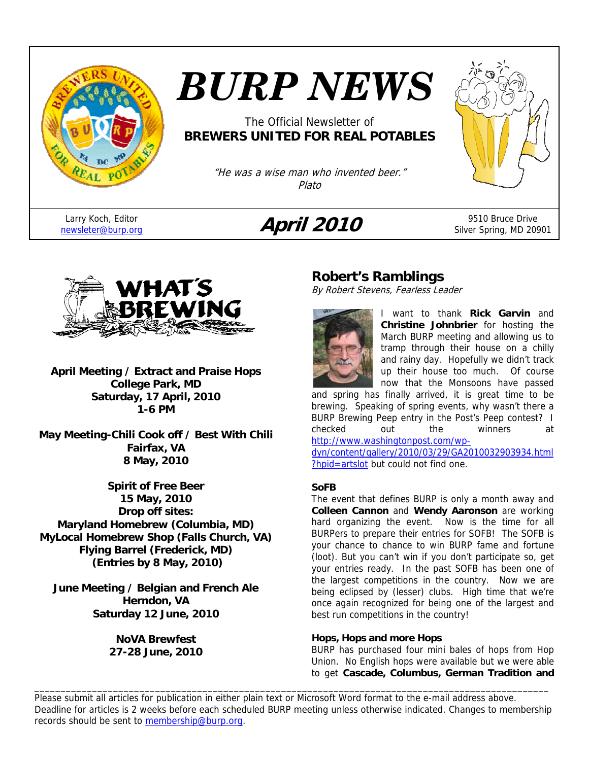

# *BURP NEWS*

The Official Newsletter of **BREWERS UNITED FOR REAL POTABLES**

> "He was a wise man who invented beer." Plato

Larry Koch, Editor

## Larry Koch, Editor **April 2010** 9510 Bruce Drive<br> **April 2010** 9510 Silver Spring, MD 209



Silver Spring, MD 20901



**April Meeting / Extract and Praise Hops College Park, MD Saturday, 17 April, 2010 1-6 PM** 

**May Meeting-Chili Cook off / Best With Chili Fairfax, VA 8 May, 2010** 

**Spirit of Free Beer 15 May, 2010 Drop off sites: Maryland Homebrew (Columbia, MD) MyLocal Homebrew Shop (Falls Church, VA) Flying Barrel (Frederick, MD) (Entries by 8 May, 2010)** 

**June Meeting / Belgian and French Ale Herndon, VA Saturday 12 June, 2010** 

> **NoVA Brewfest 27-28 June, 2010**

## **Robert's Ramblings**

By Robert Stevens, Fearless Leader



I want to thank **Rick Garvin** and **Christine Johnbrier** for hosting the March BURP meeting and allowing us to tramp through their house on a chilly and rainy day. Hopefully we didn't track up their house too much. Of course now that the Monsoons have passed

and spring has finally arrived, it is great time to be brewing. Speaking of spring events, why wasn't there a BURP Brewing Peep entry in the Post's Peep contest? I checked out the winners at http://www.washingtonpost.com/wp-

dyn/content/gallery/2010/03/29/GA2010032903934.html ?hpid=artslot but could not find one.

#### **SoFB**

The event that defines BURP is only a month away and **Colleen Cannon** and **Wendy Aaronson** are working hard organizing the event. Now is the time for all BURPers to prepare their entries for SOFB! The SOFB is your chance to chance to win BURP fame and fortune (loot). But you can't win if you don't participate so, get your entries ready. In the past SOFB has been one of the largest competitions in the country. Now we are being eclipsed by (lesser) clubs. High time that we're once again recognized for being one of the largest and best run competitions in the country!

#### **Hops, Hops and more Hops**

BURP has purchased four mini bales of hops from Hop Union. No English hops were available but we were able to get **Cascade, Columbus, German Tradition and** 

Please submit all articles for publication in either plain text or Microsoft Word format to the e-mail address above. Deadline for articles is 2 weeks before each scheduled BURP meeting unless otherwise indicated. Changes to membership records should be sent to membership@burp.org.

\_\_\_\_\_\_\_\_\_\_\_\_\_\_\_\_\_\_\_\_\_\_\_\_\_\_\_\_\_\_\_\_\_\_\_\_\_\_\_\_\_\_\_\_\_\_\_\_\_\_\_\_\_\_\_\_\_\_\_\_\_\_\_\_\_\_\_\_\_\_\_\_\_\_\_\_\_\_\_\_\_\_\_\_\_\_\_\_\_\_\_\_\_\_\_\_\_\_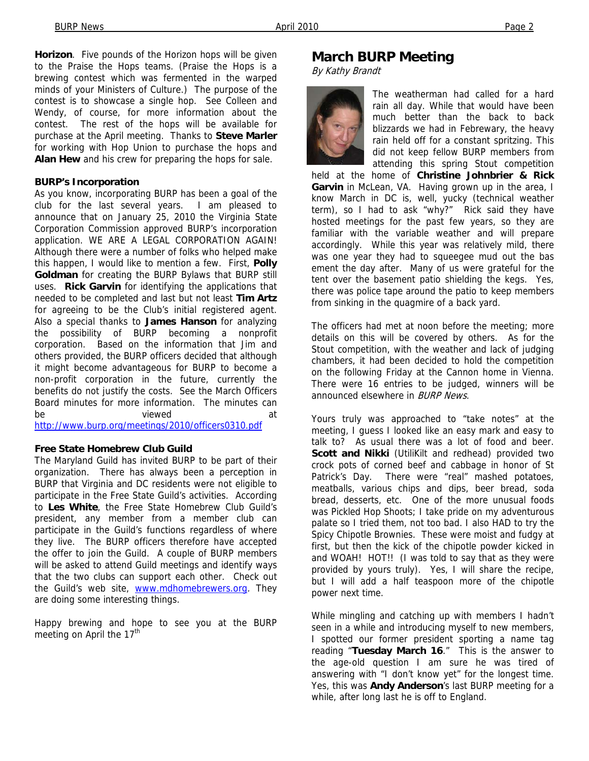**Horizon**. Five pounds of the Horizon hops will be given to the Praise the Hops teams. (Praise the Hops is a brewing contest which was fermented in the warped minds of your Ministers of Culture.) The purpose of the contest is to showcase a single hop. See Colleen and Wendy, of course, for more information about the contest. The rest of the hops will be available for purchase at the April meeting. Thanks to **Steve Marler** for working with Hop Union to purchase the hops and **Alan Hew** and his crew for preparing the hops for sale.

#### **BURP's Incorporation**

As you know, incorporating BURP has been a goal of the club for the last several years. I am pleased to announce that on January 25, 2010 the Virginia State Corporation Commission approved BURP's incorporation application. WE ARE A LEGAL CORPORATION AGAIN! Although there were a number of folks who helped make this happen, I would like to mention a few. First, **Polly Goldman** for creating the BURP Bylaws that BURP still uses. **Rick Garvin** for identifying the applications that needed to be completed and last but not least **Tim Artz** for agreeing to be the Club's initial registered agent. Also a special thanks to **James Hanson** for analyzing the possibility of BURP becoming a nonprofit corporation. Based on the information that Jim and others provided, the BURP officers decided that although it might become advantageous for BURP to become a non-profit corporation in the future, currently the benefits do not justify the costs. See the March Officers Board minutes for more information. The minutes can be viewed at

http://www.burp.org/meetings/2010/officers0310.pdf

#### **Free State Homebrew Club Guild**

The Maryland Guild has invited BURP to be part of their organization. There has always been a perception in BURP that Virginia and DC residents were not eligible to participate in the Free State Guild's activities. According to **Les White**, the Free State Homebrew Club Guild's president, any member from a member club can participate in the Guild's functions regardless of where they live. The BURP officers therefore have accepted the offer to join the Guild. A couple of BURP members will be asked to attend Guild meetings and identify ways that the two clubs can support each other. Check out the Guild's web site, www.mdhomebrewers.org. They are doing some interesting things.

Happy brewing and hope to see you at the BURP meeting on April the  $17<sup>th</sup>$ 

#### **March BURP Meeting**

By Kathy Brandt



The weatherman had called for a hard rain all day. While that would have been much better than the back to back blizzards we had in Febrewary, the heavy rain held off for a constant spritzing. This did not keep fellow BURP members from attending this spring Stout competition

held at the home of **Christine Johnbrier & Rick Garvin** in McLean, VA. Having grown up in the area, I know March in DC is, well, yucky (technical weather term), so I had to ask "why?" Rick said they have hosted meetings for the past few years, so they are familiar with the variable weather and will prepare accordingly. While this year was relatively mild, there was one year they had to squeegee mud out the bas ement the day after. Many of us were grateful for the tent over the basement patio shielding the kegs. Yes, there was police tape around the patio to keep members from sinking in the quagmire of a back yard.

The officers had met at noon before the meeting; more details on this will be covered by others. As for the Stout competition, with the weather and lack of judging chambers, it had been decided to hold the competition on the following Friday at the Cannon home in Vienna. There were 16 entries to be judged, winners will be announced elsewhere in **BURP News**.

Yours truly was approached to "take notes" at the meeting, I guess I looked like an easy mark and easy to talk to? As usual there was a lot of food and beer. Scott and Nikki (UtiliKilt and redhead) provided two crock pots of corned beef and cabbage in honor of St Patrick's Day. There were "real" mashed potatoes, meatballs, various chips and dips, beer bread, soda bread, desserts, etc. One of the more unusual foods was Pickled Hop Shoots; I take pride on my adventurous palate so I tried them, not too bad. I also HAD to try the Spicy Chipotle Brownies. These were moist and fudgy at first, but then the kick of the chipotle powder kicked in and WOAH! HOT!! (I was told to say that as they were provided by yours truly). Yes, I will share the recipe, but I will add a half teaspoon more of the chipotle power next time.

While mingling and catching up with members I hadn't seen in a while and introducing myself to new members, I spotted our former president sporting a name tag reading "**Tuesday March 16**." This is the answer to the age-old question I am sure he was tired of answering with "I don't know yet" for the longest time. Yes, this was **Andy Anderson**'s last BURP meeting for a while, after long last he is off to England.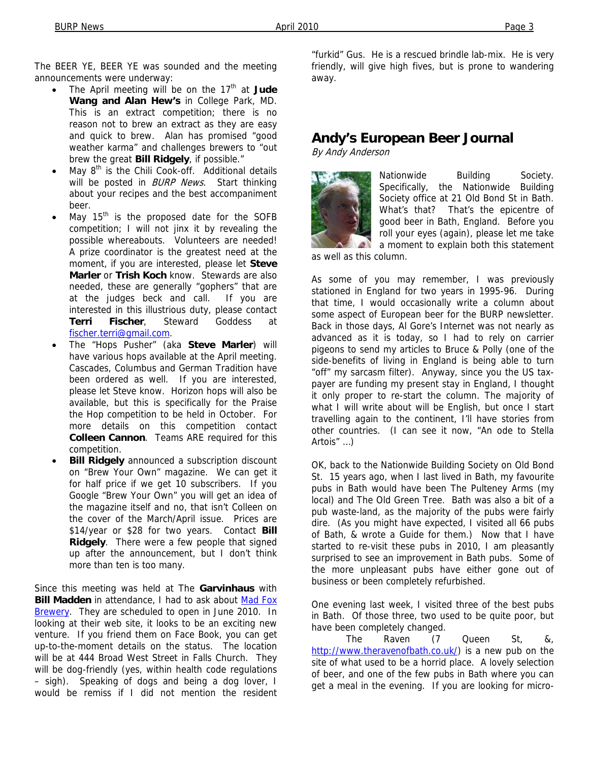The BEER YE, BEER YE was sounded and the meeting announcements were underway:

- The April meeting will be on the 17<sup>th</sup> at Jude **Wang and Alan Hew's** in College Park, MD. This is an extract competition; there is no reason not to brew an extract as they are easy and quick to brew. Alan has promised "good weather karma" and challenges brewers to "out brew the great **Bill Ridgely**, if possible."
- May  $8<sup>th</sup>$  is the Chili Cook-off. Additional details will be posted in **BURP** News. Start thinking about your recipes and the best accompaniment beer.
- May  $15<sup>th</sup>$  is the proposed date for the SOFB competition; I will not jinx it by revealing the possible whereabouts. Volunteers are needed! A prize coordinator is the greatest need at the moment, if you are interested, please let **Steve Marler** or **Trish Koch** know. Stewards are also needed, these are generally "gophers" that are at the judges beck and call. If you are interested in this illustrious duty, please contact **Terri Fischer**, Steward Goddess at fischer.terri@gmail.com.
- The "Hops Pusher" (aka **Steve Marler**) will have various hops available at the April meeting. Cascades, Columbus and German Tradition have been ordered as well. If you are interested, please let Steve know. Horizon hops will also be available, but this is specifically for the Praise the Hop competition to be held in October. For more details on this competition contact **Colleen Cannon**. Teams ARE required for this competition.
- **Bill Ridgely** announced a subscription discount on "Brew Your Own" magazine. We can get it for half price if we get 10 subscribers. If you Google "Brew Your Own" you will get an idea of the magazine itself and no, that isn't Colleen on the cover of the March/April issue. Prices are \$14/year or \$28 for two years. Contact **Bill Ridgely**. There were a few people that signed up after the announcement, but I don't think more than ten is too many.

Since this meeting was held at The **Garvinhaus** with **Bill Madden** in attendance, I had to ask about Mad Fox Brewery. They are scheduled to open in June 2010. In looking at their web site, it looks to be an exciting new venture. If you friend them on Face Book, you can get up-to-the-moment details on the status. The location will be at 444 Broad West Street in Falls Church. They will be dog-friendly (yes, within health code regulations – sigh). Speaking of dogs and being a dog lover, I would be remiss if I did not mention the resident

"furkid" Gus. He is a rescued brindle lab-mix. He is very friendly, will give high fives, but is prone to wandering away.

## **Andy's European Beer Journal**

By Andy Anderson



Nationwide Building Society. Specifically, the Nationwide Building Society office at 21 Old Bond St in Bath. What's that? That's the epicentre of good beer in Bath, England. Before you roll your eyes (again), please let me take a moment to explain both this statement

as well as this column.

As some of you may remember, I was previously stationed in England for two years in 1995-96. During that time, I would occasionally write a column about some aspect of European beer for the BURP newsletter. Back in those days, Al Gore's Internet was not nearly as advanced as it is today, so I had to rely on carrier pigeons to send my articles to Bruce & Polly (one of the side-benefits of living in England is being able to turn "off" my sarcasm filter). Anyway, since you the US taxpayer are funding my present stay in England, I thought it only proper to re-start the column. The majority of what I will write about will be English, but once I start travelling again to the continent, I'll have stories from other countries. (I can see it now, "An ode to Stella Artois" …)

OK, back to the Nationwide Building Society on Old Bond St. 15 years ago, when I last lived in Bath, my favourite pubs in Bath would have been The Pulteney Arms (my local) and The Old Green Tree. Bath was also a bit of a pub waste-land, as the majority of the pubs were fairly dire. (As you might have expected, I visited all 66 pubs of Bath, & wrote a Guide for them.) Now that I have started to re-visit these pubs in 2010, I am pleasantly surprised to see an improvement in Bath pubs. Some of the more unpleasant pubs have either gone out of business or been completely refurbished.

One evening last week, I visited three of the best pubs in Bath. Of those three, two used to be quite poor, but have been completely changed.

The Raven (7 Queen St, &, http://www.theravenofbath.co.uk/) is a new pub on the site of what used to be a horrid place. A lovely selection of beer, and one of the few pubs in Bath where you can get a meal in the evening. If you are looking for micro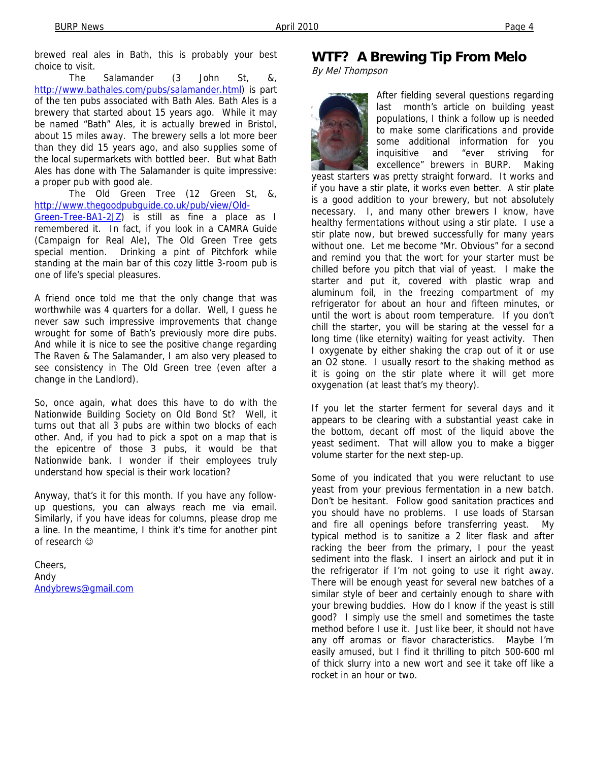brewed real ales in Bath, this is probably your best choice to visit.

The Salamander (3 John St, &, http://www.bathales.com/pubs/salamander.html) is part of the ten pubs associated with Bath Ales. Bath Ales is a brewery that started about 15 years ago. While it may be named "Bath" Ales, it is actually brewed in Bristol, about 15 miles away. The brewery sells a lot more beer than they did 15 years ago, and also supplies some of the local supermarkets with bottled beer. But what Bath Ales has done with The Salamander is quite impressive: a proper pub with good ale.

The Old Green Tree (12 Green St, &, http://www.thegoodpubguide.co.uk/pub/view/Old-

Green-Tree-BA1-2JZ) is still as fine a place as I remembered it. In fact, if you look in a CAMRA Guide (Campaign for Real Ale), The Old Green Tree gets special mention. Drinking a pint of Pitchfork while standing at the main bar of this cozy little 3-room pub is one of life's special pleasures.

A friend once told me that the only change that was worthwhile was 4 quarters for a dollar. Well, I guess he never saw such impressive improvements that change wrought for some of Bath's previously more dire pubs. And while it is nice to see the positive change regarding The Raven & The Salamander, I am also very pleased to see consistency in The Old Green tree (even after a change in the Landlord).

So, once again, what does this have to do with the Nationwide Building Society on Old Bond St? Well, it turns out that all 3 pubs are within two blocks of each other. And, if you had to pick a spot on a map that is the epicentre of those 3 pubs, it would be that Nationwide bank. I wonder if their employees truly understand how special is their work location?

Anyway, that's it for this month. If you have any followup questions, you can always reach me via email. Similarly, if you have ideas for columns, please drop me a line. In the meantime, I think it's time for another pint of research ☺

Cheers, Andy Andybrews@gmail.com

## **WTF? A Brewing Tip From Melo**

By Mel Thompson



After fielding several questions regarding last month's article on building yeast populations, I think a follow up is needed to make some clarifications and provide some additional information for you inquisitive and "ever striving for excellence" brewers in BURP. Making

yeast starters was pretty straight forward. It works and if you have a stir plate, it works even better. A stir plate is a good addition to your brewery, but not absolutely necessary. I, and many other brewers I know, have healthy fermentations without using a stir plate. I use a stir plate now, but brewed successfully for many years without one. Let me become "Mr. Obvious" for a second and remind you that the wort for your starter must be chilled before you pitch that vial of yeast. I make the starter and put it, covered with plastic wrap and aluminum foil, in the freezing compartment of my refrigerator for about an hour and fifteen minutes, or until the wort is about room temperature. If you don't chill the starter, you will be staring at the vessel for a long time (like eternity) waiting for yeast activity. Then I oxygenate by either shaking the crap out of it or use an O2 stone. I usually resort to the shaking method as it is going on the stir plate where it will get more oxygenation (at least that's my theory).

If you let the starter ferment for several days and it appears to be clearing with a substantial yeast cake in the bottom, decant off most of the liquid above the yeast sediment. That will allow you to make a bigger volume starter for the next step-up.

Some of you indicated that you were reluctant to use yeast from your previous fermentation in a new batch. Don't be hesitant. Follow good sanitation practices and you should have no problems. I use loads of Starsan and fire all openings before transferring yeast. My typical method is to sanitize a 2 liter flask and after racking the beer from the primary, I pour the yeast sediment into the flask. I insert an airlock and put it in the refrigerator if I'm not going to use it right away. There will be enough yeast for several new batches of a similar style of beer and certainly enough to share with your brewing buddies. How do I know if the yeast is still good? I simply use the smell and sometimes the taste method before I use it. Just like beer, it should not have any off aromas or flavor characteristics. Maybe I'm easily amused, but I find it thrilling to pitch 500-600 ml of thick slurry into a new wort and see it take off like a rocket in an hour or two.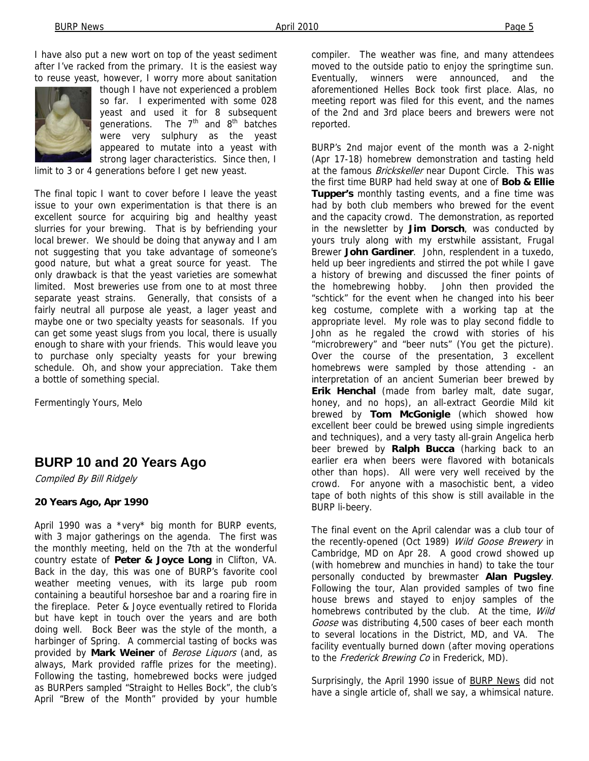I have also put a new wort on top of the yeast sediment after I've racked from the primary. It is the easiest way to reuse yeast, however, I worry more about sanitation



though I have not experienced a problem so far. I experimented with some 028 yeast and used it for 8 subsequent generations. The  $7<sup>th</sup>$  and  $8<sup>th</sup>$  batches were very sulphury as the yeast appeared to mutate into a yeast with strong lager characteristics. Since then, I

limit to 3 or 4 generations before I get new yeast.

The final topic I want to cover before I leave the yeast issue to your own experimentation is that there is an excellent source for acquiring big and healthy yeast slurries for your brewing. That is by befriending your local brewer. We should be doing that anyway and I am not suggesting that you take advantage of someone's good nature, but what a great source for yeast. The only drawback is that the yeast varieties are somewhat limited. Most breweries use from one to at most three separate yeast strains. Generally, that consists of a fairly neutral all purpose ale yeast, a lager yeast and maybe one or two specialty yeasts for seasonals. If you can get some yeast slugs from you local, there is usually enough to share with your friends. This would leave you to purchase only specialty yeasts for your brewing schedule. Oh, and show your appreciation. Take them a bottle of something special.

Fermentingly Yours, Melo

## **BURP 10 and 20 Years Ago**

Compiled By Bill Ridgely

#### **20 Years Ago, Apr 1990**

April 1990 was a \*very\* big month for BURP events, with 3 major gatherings on the agenda. The first was the monthly meeting, held on the 7th at the wonderful country estate of **Peter & Joyce Long** in Clifton, VA. Back in the day, this was one of BURP's favorite cool weather meeting venues, with its large pub room containing a beautiful horseshoe bar and a roaring fire in the fireplace. Peter & Joyce eventually retired to Florida but have kept in touch over the years and are both doing well. Bock Beer was the style of the month, a harbinger of Spring. A commercial tasting of bocks was provided by **Mark Weiner** of Berose Liquors (and, as always, Mark provided raffle prizes for the meeting). Following the tasting, homebrewed bocks were judged as BURPers sampled "Straight to Helles Bock", the club's April "Brew of the Month" provided by your humble

compiler. The weather was fine, and many attendees moved to the outside patio to enjoy the springtime sun. Eventually, winners were announced, and the aforementioned Helles Bock took first place. Alas, no meeting report was filed for this event, and the names of the 2nd and 3rd place beers and brewers were not reported.

BURP's 2nd major event of the month was a 2-night (Apr 17-18) homebrew demonstration and tasting held at the famous Brickskeller near Dupont Circle. This was the first time BURP had held sway at one of **Bob & Ellie Tupper's** monthly tasting events, and a fine time was had by both club members who brewed for the event and the capacity crowd. The demonstration, as reported in the newsletter by **Jim Dorsch**, was conducted by yours truly along with my erstwhile assistant, Frugal Brewer **John Gardiner**. John, resplendent in a tuxedo, held up beer ingredients and stirred the pot while I gave a history of brewing and discussed the finer points of the homebrewing hobby. John then provided the "schtick" for the event when he changed into his beer keg costume, complete with a working tap at the appropriate level. My role was to play second fiddle to John as he regaled the crowd with stories of his "microbrewery" and "beer nuts" (You get the picture). Over the course of the presentation, 3 excellent homebrews were sampled by those attending - an interpretation of an ancient Sumerian beer brewed by **Erik Henchal** (made from barley malt, date sugar, honey, and no hops), an all-extract Geordie Mild kit brewed by **Tom McGonigle** (which showed how excellent beer could be brewed using simple ingredients and techniques), and a very tasty all-grain Angelica herb beer brewed by **Ralph Bucca** (harking back to an earlier era when beers were flavored with botanicals other than hops). All were very well received by the crowd. For anyone with a masochistic bent, a video tape of both nights of this show is still available in the BURP li-beery.

The final event on the April calendar was a club tour of the recently-opened (Oct 1989) Wild Goose Brewery in Cambridge, MD on Apr 28. A good crowd showed up (with homebrew and munchies in hand) to take the tour personally conducted by brewmaster **Alan Pugsley**. Following the tour, Alan provided samples of two fine house brews and stayed to enjoy samples of the homebrews contributed by the club. At the time, Wild Goose was distributing 4,500 cases of beer each month to several locations in the District, MD, and VA. The facility eventually burned down (after moving operations to the Frederick Brewing Co in Frederick, MD).

Surprisingly, the April 1990 issue of **BURP News** did not have a single article of, shall we say, a whimsical nature.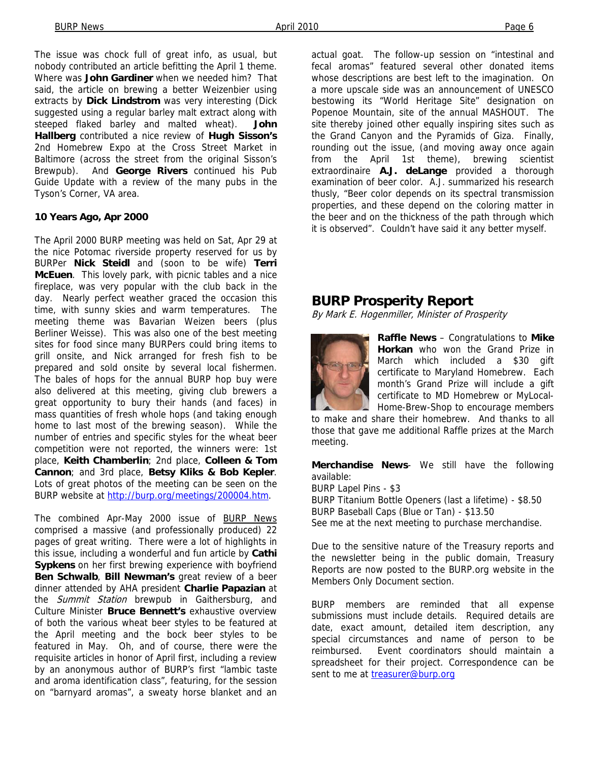The issue was chock full of great info, as usual, but nobody contributed an article befitting the April 1 theme. Where was **John Gardiner** when we needed him? That said, the article on brewing a better Weizenbier using extracts by **Dick Lindstrom** was very interesting (Dick suggested using a regular barley malt extract along with steeped flaked barley and malted wheat). **John Hallberg** contributed a nice review of **Hugh Sisson's**  2nd Homebrew Expo at the Cross Street Market in Baltimore (across the street from the original Sisson's Brewpub). And **George Rivers** continued his Pub Guide Update with a review of the many pubs in the Tyson's Corner, VA area.

#### **10 Years Ago, Apr 2000**

The April 2000 BURP meeting was held on Sat, Apr 29 at the nice Potomac riverside property reserved for us by BURPer **Nick Steidl** and (soon to be wife) **Terri McEuen**. This lovely park, with picnic tables and a nice fireplace, was very popular with the club back in the day. Nearly perfect weather graced the occasion this time, with sunny skies and warm temperatures. The meeting theme was Bavarian Weizen beers (plus Berliner Weisse). This was also one of the best meeting sites for food since many BURPers could bring items to grill onsite, and Nick arranged for fresh fish to be prepared and sold onsite by several local fishermen. The bales of hops for the annual BURP hop buy were also delivered at this meeting, giving club brewers a great opportunity to bury their hands (and faces) in mass quantities of fresh whole hops (and taking enough home to last most of the brewing season). While the number of entries and specific styles for the wheat beer competition were not reported, the winners were: 1st place, **Keith Chamberlin**; 2nd place, **Colleen & Tom Cannon**; and 3rd place, **Betsy Kliks & Bob Kepler**. Lots of great photos of the meeting can be seen on the BURP website at http://burp.org/meetings/200004.htm.

The combined Apr-May 2000 issue of BURP News comprised a massive (and professionally produced) 22 pages of great writing. There were a lot of highlights in this issue, including a wonderful and fun article by **Cathi Sypkens** on her first brewing experience with boyfriend **Ben Schwalb**, **Bill Newman's** great review of a beer dinner attended by AHA president **Charlie Papazian** at the *Summit Station* brewpub in Gaithersburg, and Culture Minister **Bruce Bennett's** exhaustive overview of both the various wheat beer styles to be featured at the April meeting and the bock beer styles to be featured in May. Oh, and of course, there were the requisite articles in honor of April first, including a review by an anonymous author of BURP's first "lambic taste and aroma identification class", featuring, for the session on "barnyard aromas", a sweaty horse blanket and an

actual goat. The follow-up session on "intestinal and fecal aromas" featured several other donated items whose descriptions are best left to the imagination. On a more upscale side was an announcement of UNESCO bestowing its "World Heritage Site" designation on Popenoe Mountain, site of the annual MASHOUT. The site thereby joined other equally inspiring sites such as the Grand Canyon and the Pyramids of Giza. Finally, rounding out the issue, (and moving away once again from the April 1st theme), brewing scientist extraordinaire **A.J. deLange** provided a thorough examination of beer color. A.J. summarized his research thusly, "Beer color depends on its spectral transmission properties, and these depend on the coloring matter in the beer and on the thickness of the path through which it is observed". Couldn't have said it any better myself.

#### **BURP Prosperity Report**

By Mark E. Hogenmiller, Minister of Prosperity



**Raffle News** – Congratulations to **Mike Horkan** who won the Grand Prize in March which included a \$30 gift certificate to Maryland Homebrew. Each month's Grand Prize will include a gift certificate to MD Homebrew or MyLocal-Home-Brew-Shop to encourage members

to make and share their homebrew. And thanks to all those that gave me additional Raffle prizes at the March meeting.

**Merchandise News**- We still have the following available:

BURP Lapel Pins - \$3 BURP Titanium Bottle Openers (last a lifetime) - \$8.50 BURP Baseball Caps (Blue or Tan) - \$13.50

See me at the next meeting to purchase merchandise.

Due to the sensitive nature of the Treasury reports and the newsletter being in the public domain, Treasury Reports are now posted to the BURP.org website in the Members Only Document section.

BURP members are reminded that all expense submissions must include details. Required details are date, exact amount, detailed item description, any special circumstances and name of person to be reimbursed. Event coordinators should maintain a spreadsheet for their project. Correspondence can be sent to me at treasurer@burp.org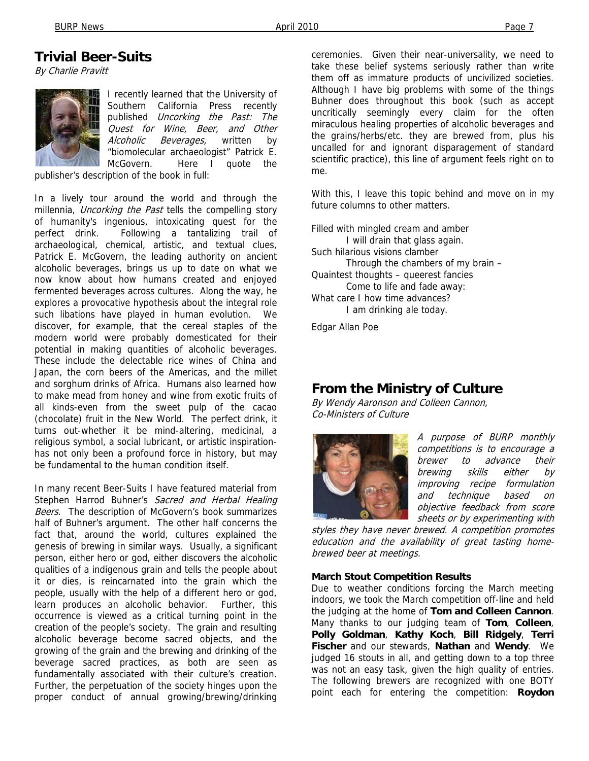## **Trivial Beer-Suits**

By Charlie Pravitt



I recently learned that the University of Southern California Press recently published Uncorking the Past: The Quest for Wine, Beer, and Other Alcoholic Beverages, written by "biomolecular archaeologist" Patrick E. McGovern. Here I quote the

publisher's description of the book in full:

In a lively tour around the world and through the millennia, *Uncorking the Past* tells the compelling story of humanity's ingenious, intoxicating quest for the perfect drink. Following a tantalizing trail of archaeological, chemical, artistic, and textual clues, Patrick E. McGovern, the leading authority on ancient alcoholic beverages, brings us up to date on what we now know about how humans created and enjoyed fermented beverages across cultures. Along the way, he explores a provocative hypothesis about the integral role such libations have played in human evolution. We discover, for example, that the cereal staples of the modern world were probably domesticated for their potential in making quantities of alcoholic beverages. These include the delectable rice wines of China and Japan, the corn beers of the Americas, and the millet and sorghum drinks of Africa. Humans also learned how to make mead from honey and wine from exotic fruits of all kinds-even from the sweet pulp of the cacao (chocolate) fruit in the New World. The perfect drink, it turns out-whether it be mind-altering, medicinal, a religious symbol, a social lubricant, or artistic inspirationhas not only been a profound force in history, but may be fundamental to the human condition itself.

In many recent Beer-Suits I have featured material from Stephen Harrod Buhner's Sacred and Herbal Healing Beers. The description of McGovern's book summarizes half of Buhner's argument. The other half concerns the fact that, around the world, cultures explained the genesis of brewing in similar ways. Usually, a significant person, either hero or god, either discovers the alcoholic qualities of a indigenous grain and tells the people about it or dies, is reincarnated into the grain which the people, usually with the help of a different hero or god, learn produces an alcoholic behavior. Further, this occurrence is viewed as a critical turning point in the creation of the people's society. The grain and resulting alcoholic beverage become sacred objects, and the growing of the grain and the brewing and drinking of the beverage sacred practices, as both are seen as fundamentally associated with their culture's creation. Further, the perpetuation of the society hinges upon the proper conduct of annual growing/brewing/drinking

ceremonies. Given their near-universality, we need to take these belief systems seriously rather than write them off as immature products of uncivilized societies. Although I have big problems with some of the things Buhner does throughout this book (such as accept uncritically seemingly every claim for the often miraculous healing properties of alcoholic beverages and the grains/herbs/etc. they are brewed from, plus his uncalled for and ignorant disparagement of standard scientific practice), this line of argument feels right on to me.

With this, I leave this topic behind and move on in my future columns to other matters.

Filled with mingled cream and amber I will drain that glass again. Such hilarious visions clamber Through the chambers of my brain – Quaintest thoughts – queerest fancies Come to life and fade away: What care I how time advances? I am drinking ale today.

Edgar Allan Poe

## **From the Ministry of Culture**

By Wendy Aaronson and Colleen Cannon, Co-Ministers of Culture



A purpose of BURP monthly competitions is to encourage a brewer to advance their brewing skills either by improving recipe formulation and technique based on objective feedback from score sheets or by experimenting with

styles they have never brewed. A competition promotes education and the availability of great tasting homebrewed beer at meetings.

#### **March Stout Competition Results**

Due to weather conditions forcing the March meeting indoors, we took the March competition off-line and held the judging at the home of **Tom and Colleen Cannon**. Many thanks to our judging team of **Tom**, **Colleen**, **Polly Goldman**, **Kathy Koch**, **Bill Ridgely**, **Terri Fischer** and our stewards, **Nathan** and **Wendy**. We judged 16 stouts in all, and getting down to a top three was not an easy task, given the high quality of entries. The following brewers are recognized with one BOTY point each for entering the competition: **Roydon**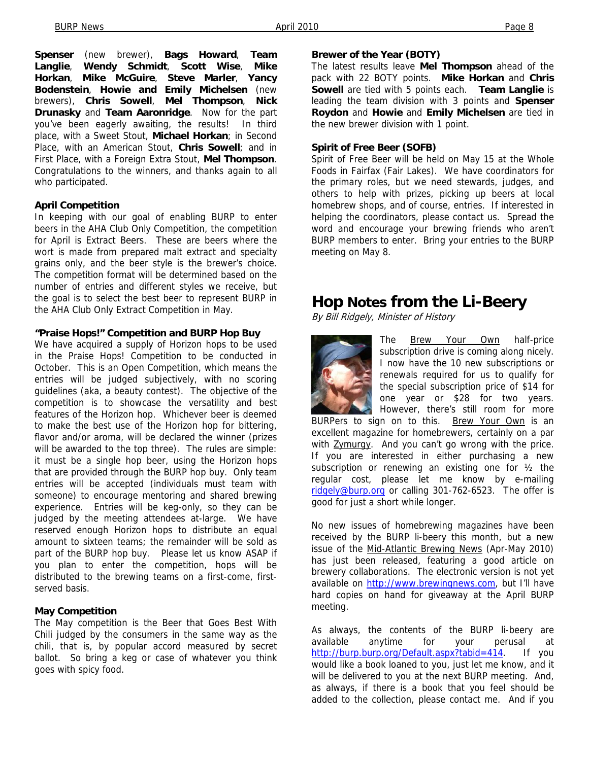**Spenser** (new brewer), **Bags Howard**, **Team Langlie**, **Wendy Schmidt**, **Scott Wise**, **Mike Horkan**, **Mike McGuire**, **Steve Marler**, **Yancy Bodenstein**, **Howie and Emily Michelsen** (new brewers), **Chris Sowell**, **Mel Thompson**, **Nick Drunasky** and **Team Aaronridge**. Now for the part you've been eagerly awaiting, the results! In third place, with a Sweet Stout, **Michael Horkan**; in Second Place, with an American Stout, **Chris Sowell**; and in First Place, with a Foreign Extra Stout, **Mel Thompson**. Congratulations to the winners, and thanks again to all who participated.

#### **April Competition**

In keeping with our goal of enabling BURP to enter beers in the AHA Club Only Competition, the competition for April is Extract Beers. These are beers where the wort is made from prepared malt extract and specialty grains only, and the beer style is the brewer's choice. The competition format will be determined based on the number of entries and different styles we receive, but the goal is to select the best beer to represent BURP in the AHA Club Only Extract Competition in May.

#### **"Praise Hops!" Competition and BURP Hop Buy**

We have acquired a supply of Horizon hops to be used in the Praise Hops! Competition to be conducted in October. This is an Open Competition, which means the entries will be judged subjectively, with no scoring guidelines (aka, a beauty contest). The objective of the competition is to showcase the versatility and best features of the Horizon hop. Whichever beer is deemed to make the best use of the Horizon hop for bittering, flavor and/or aroma, will be declared the winner (prizes will be awarded to the top three). The rules are simple: it must be a single hop beer, using the Horizon hops that are provided through the BURP hop buy. Only team entries will be accepted (individuals must team with someone) to encourage mentoring and shared brewing experience. Entries will be keg-only, so they can be judged by the meeting attendees at-large. We have reserved enough Horizon hops to distribute an equal amount to sixteen teams; the remainder will be sold as part of the BURP hop buy. Please let us know ASAP if you plan to enter the competition, hops will be distributed to the brewing teams on a first-come, firstserved basis.

#### **May Competition**

The May competition is the Beer that Goes Best With Chili judged by the consumers in the same way as the chili, that is, by popular accord measured by secret ballot. So bring a keg or case of whatever you think goes with spicy food.

#### **Brewer of the Year (BOTY)**

The latest results leave **Mel Thompson** ahead of the pack with 22 BOTY points. **Mike Horkan** and **Chris Sowell** are tied with 5 points each. **Team Langlie** is leading the team division with 3 points and **Spenser Roydon** and **Howie** and **Emily Michelsen** are tied in the new brewer division with 1 point.

#### **Spirit of Free Beer (SOFB)**

Spirit of Free Beer will be held on May 15 at the Whole Foods in Fairfax (Fair Lakes). We have coordinators for the primary roles, but we need stewards, judges, and others to help with prizes, picking up beers at local homebrew shops, and of course, entries. If interested in helping the coordinators, please contact us. Spread the word and encourage your brewing friends who aren't BURP members to enter. Bring your entries to the BURP meeting on May 8.

## **Hop Notes from the Li-Beery**

By Bill Ridgely, Minister of History



The **Brew Your Own** half-price subscription drive is coming along nicely. I now have the 10 new subscriptions or renewals required for us to qualify for the special subscription price of \$14 for one year or \$28 for two years. However, there's still room for more

BURPers to sign on to this. Brew Your Own is an excellent magazine for homebrewers, certainly on a par with **Zymurgy**. And you can't go wrong with the price. If you are interested in either purchasing a new subscription or renewing an existing one for ½ the regular cost, please let me know by e-mailing ridgely@burp.org or calling 301-762-6523. The offer is good for just a short while longer.

No new issues of homebrewing magazines have been received by the BURP li-beery this month, but a new issue of the Mid-Atlantic Brewing News (Apr-May 2010) has just been released, featuring a good article on brewery collaborations. The electronic version is not yet available on http://www.brewingnews.com, but I'll have hard copies on hand for giveaway at the April BURP meeting.

As always, the contents of the BURP li-beery are available anytime for your perusal at http://burp.burp.org/Default.aspx?tabid=414. If you would like a book loaned to you, just let me know, and it will be delivered to you at the next BURP meeting. And, as always, if there is a book that you feel should be added to the collection, please contact me. And if you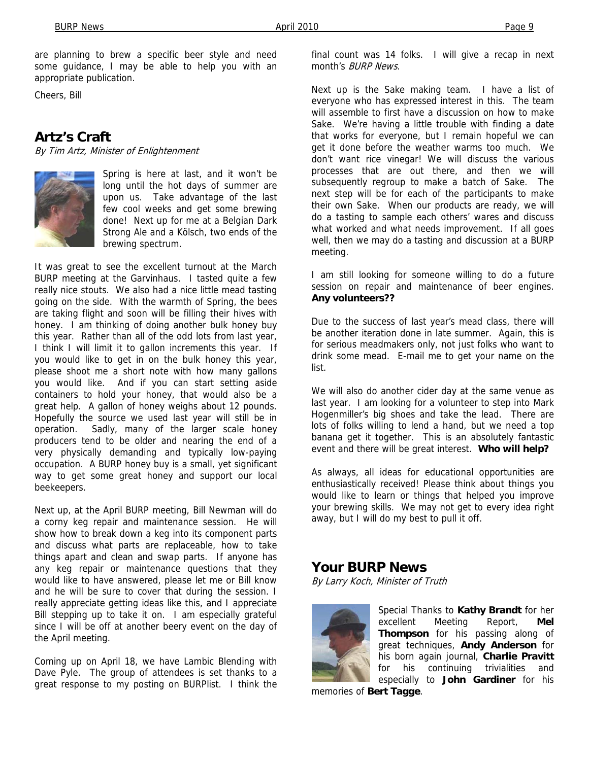are planning to brew a specific beer style and need some guidance, I may be able to help you with an appropriate publication.

Cheers, Bill

## **Artz's Craft**

By Tim Artz, Minister of Enlightenment



Spring is here at last, and it won't be long until the hot days of summer are upon us. Take advantage of the last few cool weeks and get some brewing done! Next up for me at a Belgian Dark Strong Ale and a Kölsch, two ends of the brewing spectrum.

It was great to see the excellent turnout at the March BURP meeting at the Garvinhaus. I tasted quite a few really nice stouts. We also had a nice little mead tasting going on the side. With the warmth of Spring, the bees are taking flight and soon will be filling their hives with honey. I am thinking of doing another bulk honey buy this year. Rather than all of the odd lots from last year, I think I will limit it to gallon increments this year. If you would like to get in on the bulk honey this year, please shoot me a short note with how many gallons you would like. And if you can start setting aside containers to hold your honey, that would also be a great help. A gallon of honey weighs about 12 pounds. Hopefully the source we used last year will still be in operation. Sadly, many of the larger scale honey producers tend to be older and nearing the end of a very physically demanding and typically low-paying occupation. A BURP honey buy is a small, yet significant way to get some great honey and support our local beekeepers.

Next up, at the April BURP meeting, Bill Newman will do a corny keg repair and maintenance session. He will show how to break down a keg into its component parts and discuss what parts are replaceable, how to take things apart and clean and swap parts. If anyone has any keg repair or maintenance questions that they would like to have answered, please let me or Bill know and he will be sure to cover that during the session. I really appreciate getting ideas like this, and I appreciate Bill stepping up to take it on. I am especially grateful since I will be off at another beery event on the day of the April meeting.

Coming up on April 18, we have Lambic Blending with Dave Pyle. The group of attendees is set thanks to a great response to my posting on BURPlist. I think the

final count was 14 folks. I will give a recap in next month's BURP News.

Next up is the Sake making team. I have a list of everyone who has expressed interest in this. The team will assemble to first have a discussion on how to make Sake. We're having a little trouble with finding a date that works for everyone, but I remain hopeful we can get it done before the weather warms too much. We don't want rice vinegar! We will discuss the various processes that are out there, and then we will subsequently regroup to make a batch of Sake. The next step will be for each of the participants to make their own Sake. When our products are ready, we will do a tasting to sample each others' wares and discuss what worked and what needs improvement. If all goes well, then we may do a tasting and discussion at a BURP meeting.

I am still looking for someone willing to do a future session on repair and maintenance of beer engines. **Any volunteers??**

Due to the success of last year's mead class, there will be another iteration done in late summer. Again, this is for serious meadmakers only, not just folks who want to drink some mead. E-mail me to get your name on the list.

We will also do another cider day at the same venue as last year. I am looking for a volunteer to step into Mark Hogenmiller's big shoes and take the lead. There are lots of folks willing to lend a hand, but we need a top banana get it together. This is an absolutely fantastic event and there will be great interest. **Who will help?**

As always, all ideas for educational opportunities are enthusiastically received! Please think about things you would like to learn or things that helped you improve your brewing skills. We may not get to every idea right away, but I will do my best to pull it off.

## **Your BURP News**

By Larry Koch, Minister of Truth



Special Thanks to **Kathy Brandt** for her excellent Meeting Report, **Mel Thompson** for his passing along of great techniques, **Andy Anderson** for his born again journal, **Charlie Pravitt** for his continuing trivialities and especially to **John Gardiner** for his

memories of **Bert Tagge**.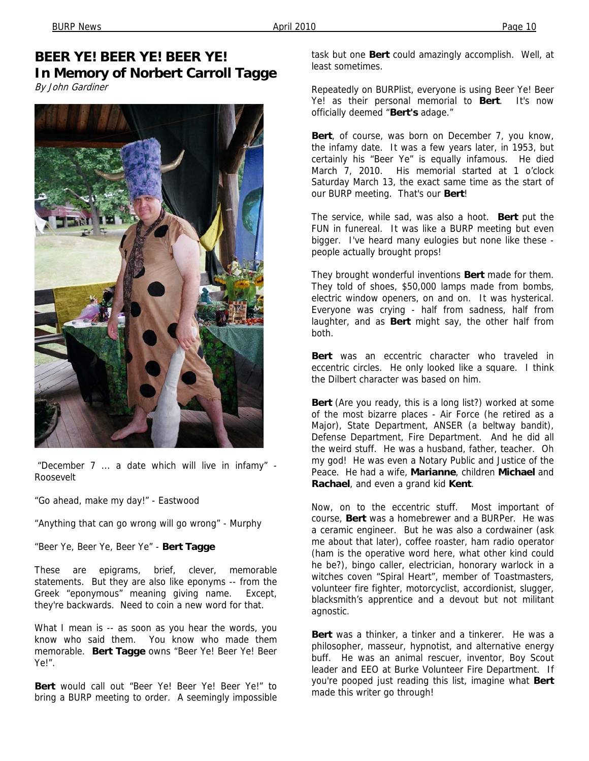## **BEER YE! BEER YE! BEER YE! In Memory of Norbert Carroll Tagge**

By John Gardiner



 "December 7 ... a date which will live in infamy" - Roosevelt

"Go ahead, make my day!" - Eastwood

"Anything that can go wrong will go wrong" - Murphy

"Beer Ye, Beer Ye, Beer Ye" - **Bert Tagge** 

These are epigrams, brief, clever, memorable statements. But they are also like eponyms -- from the Greek "eponymous" meaning giving name. Except, they're backwards. Need to coin a new word for that.

What I mean is -- as soon as you hear the words, you know who said them. You know who made them memorable. **Bert Tagge** owns "Beer Ye! Beer Ye! Beer Ye!".

**Bert** would call out "Beer Ye! Beer Ye! Beer Ye!" to bring a BURP meeting to order. A seemingly impossible

task but one **Bert** could amazingly accomplish. Well, at least sometimes.

Repeatedly on BURPlist, everyone is using Beer Ye! Beer Ye! as their personal memorial to **Bert**. It's now officially deemed "**Bert's** adage."

**Bert**, of course, was born on December 7, you know, the infamy date. It was a few years later, in 1953, but certainly his "Beer Ye" is equally infamous. He died March 7, 2010. His memorial started at 1 o'clock Saturday March 13, the exact same time as the start of our BURP meeting. That's our **Bert**!

The service, while sad, was also a hoot. **Bert** put the FUN in funereal. It was like a BURP meeting but even bigger. I've heard many eulogies but none like these people actually brought props!

They brought wonderful inventions **Bert** made for them. They told of shoes, \$50,000 lamps made from bombs, electric window openers, on and on. It was hysterical. Everyone was crying - half from sadness, half from laughter, and as **Bert** might say, the other half from both.

**Bert** was an eccentric character who traveled in eccentric circles. He only looked like a square. I think the Dilbert character was based on him.

**Bert** (Are you ready, this is a long list?) worked at some of the most bizarre places - Air Force (he retired as a Major), State Department, ANSER (a beltway bandit), Defense Department, Fire Department. And he did all the weird stuff. He was a husband, father, teacher. Oh my god! He was even a Notary Public and Justice of the Peace. He had a wife, **Marianne**, children **Michael** and **Rachael**, and even a grand kid **Kent**.

Now, on to the eccentric stuff. Most important of course, **Bert** was a homebrewer and a BURPer. He was a ceramic engineer. But he was also a cordwainer (ask me about that later), coffee roaster, ham radio operator (ham is the operative word here, what other kind could he be?), bingo caller, electrician, honorary warlock in a witches coven "Spiral Heart", member of Toastmasters, volunteer fire fighter, motorcyclist, accordionist, slugger, blacksmith's apprentice and a devout but not militant agnostic.

**Bert** was a thinker, a tinker and a tinkerer. He was a philosopher, masseur, hypnotist, and alternative energy buff. He was an animal rescuer, inventor, Boy Scout leader and EEO at Burke Volunteer Fire Department. If you're pooped just reading this list, imagine what **Bert** made this writer go through!